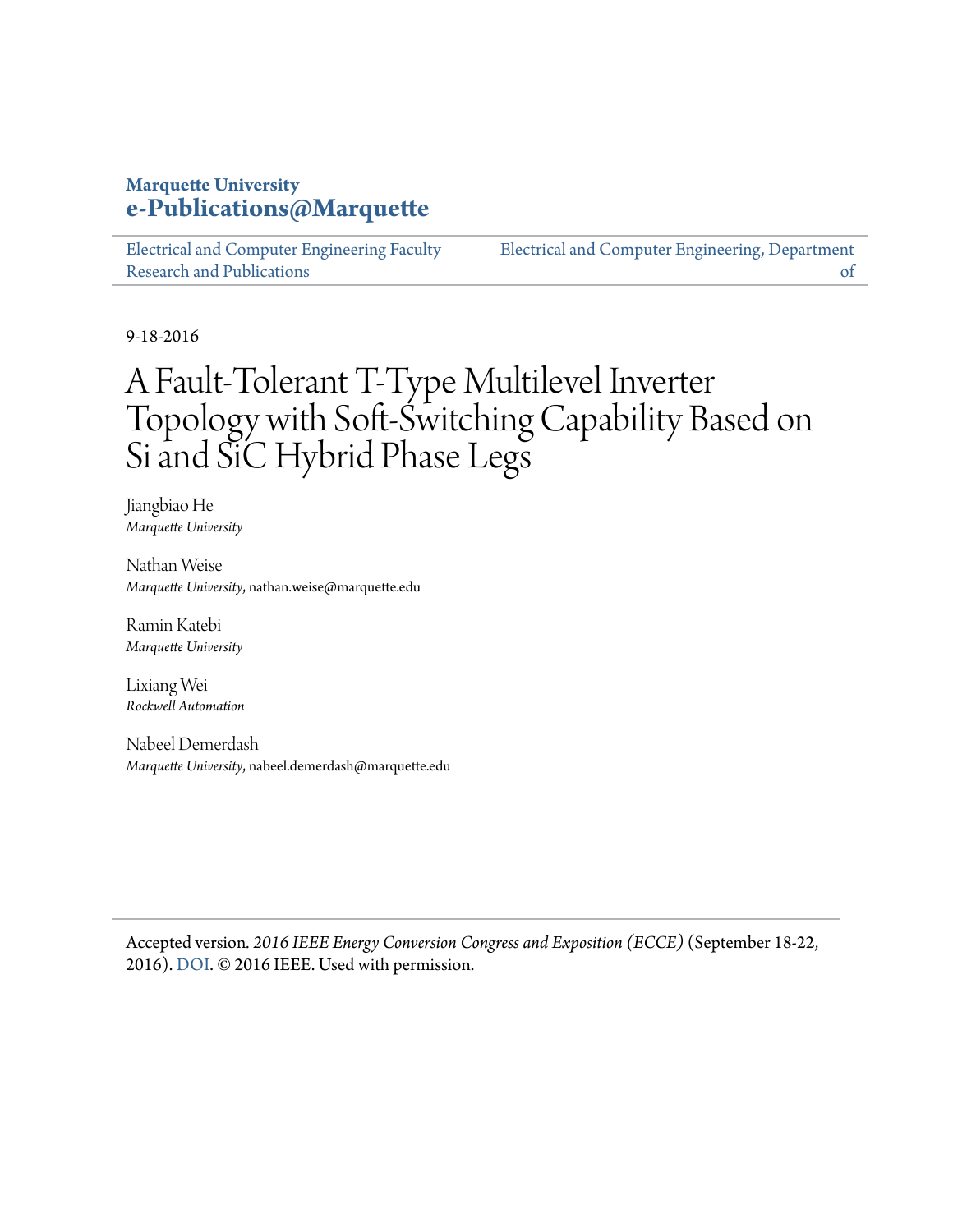#### **Marquette University [e-Publications@Marquette](https://epublications.marquette.edu)**

[Electrical and Computer Engineering Faculty](https://epublications.marquette.edu/electric_fac) [Research and Publications](https://epublications.marquette.edu/electric_fac)

[Electrical and Computer Engineering, Department](https://epublications.marquette.edu/electric) [of](https://epublications.marquette.edu/electric)

9-18-2016

# A Fault-Tolerant T-Type Multilevel Inverter Topology with Soft-Switching Capability Based on Si and SiC Hybrid Phase Legs

Jiangbiao He *Marquette University*

Nathan Weise *Marquette University*, nathan.weise@marquette.edu

Ramin Katebi *Marquette University*

Lixiang Wei *Rockwell Automation*

Nabeel Demerdash *Marquette University*, nabeel.demerdash@marquette.edu

Accepted version*. 2016 IEEE Energy Conversion Congress and Exposition (ECCE)* (September 18-22, 2016). [DOI.](https://doi.org/10.1109/ECCE.2016.7854678) © 2016 IEEE. Used with permission.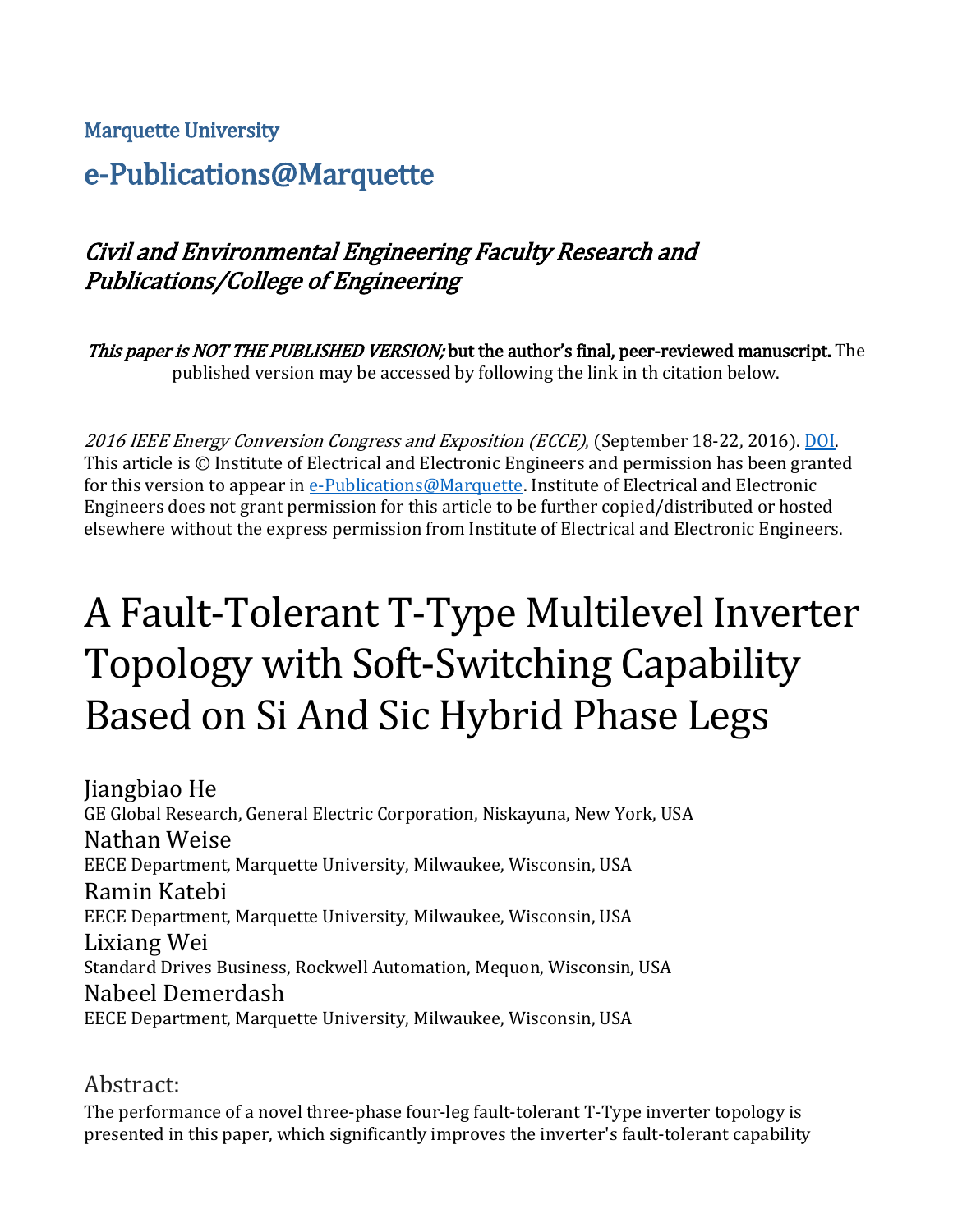#### Marquette University

# e-Publications@Marquette

# Civil and Environmental Engineering Faculty Research and Publications/College of Engineering

This paper is NOT THE PUBLISHED VERSION; but the author's final, peer-reviewed manuscript. The published version may be accessed by following the link in th citation below.

2016 IEEE Energy Conversion Congress and Exposition (ECCE), (September 18-22, 2016). [DOI.](https://doi.org/10.1109/ECCE.2016.7854678) This article is © Institute of Electrical and Electronic Engineers and permission has been granted for this version to appear in [e-Publications@Marquette.](http://epublications.marquette.edu/) Institute of Electrical and Electronic Engineers does not grant permission for this article to be further copied/distributed or hosted elsewhere without the express permission from Institute of Electrical and Electronic Engineers.

# A Fault-Tolerant T-Type Multilevel Inverter Topology with Soft-Switching Capability Based on Si And Sic Hybrid Phase Legs

Jiangbiao He GE Global Research, General Electric Corporation, Niskayuna, New York, USA Nathan Weise EECE Department, Marquette University, Milwaukee, Wisconsin, USA Ramin Katebi EECE Department, Marquette University, Milwaukee, Wisconsin, USA Lixiang Wei Standard Drives Business, Rockwell Automation, Mequon, Wisconsin, USA Nabeel Demerdash EECE Department, Marquette University, Milwaukee, Wisconsin, USA

#### Abstract:

The performance of a novel three-phase four-leg fault-tolerant T-Type inverter topology is presented in this paper, which significantly improves the inverter's fault-tolerant capability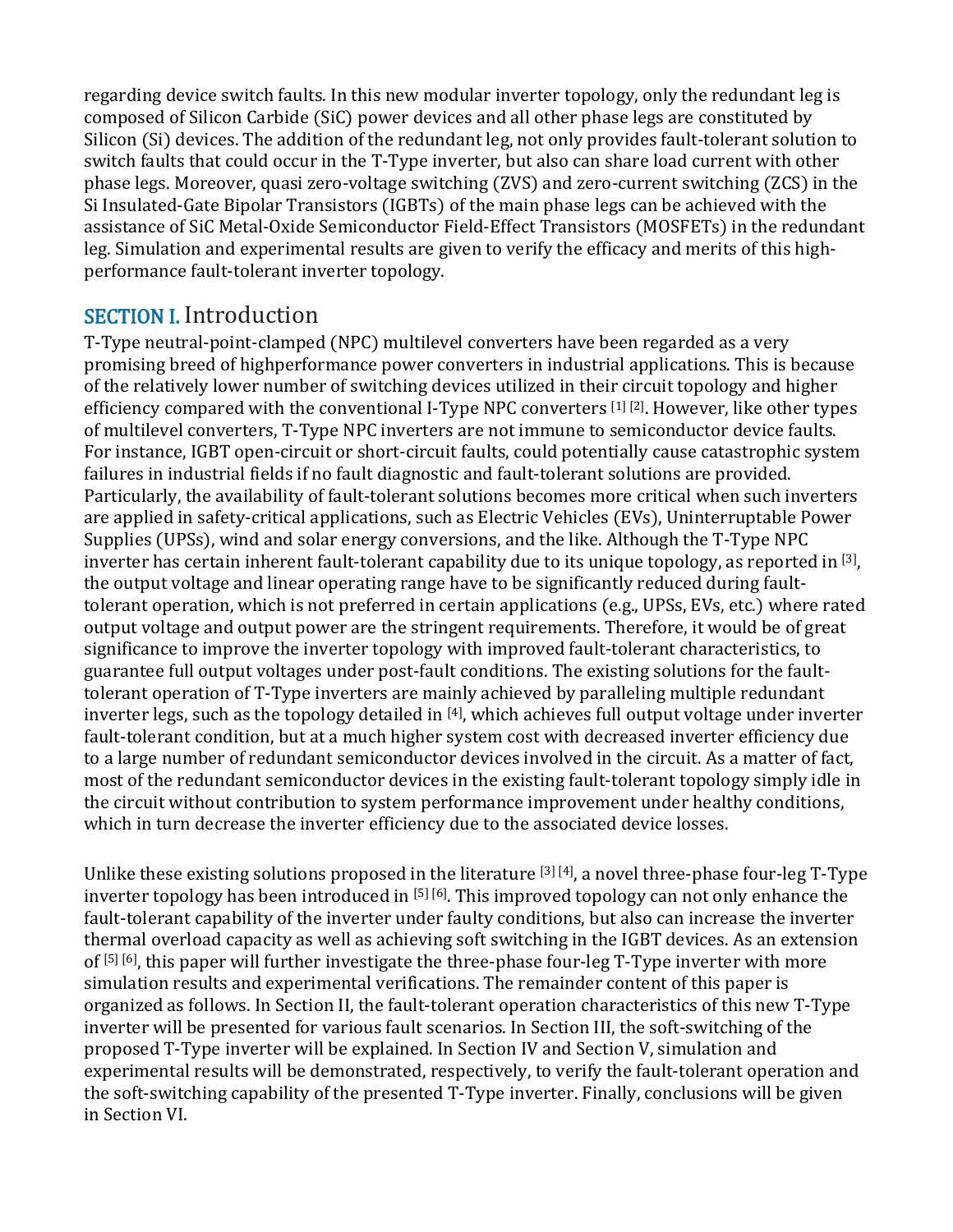regarding device switch faults. In this new modular inverter topology, only the redundant leg is composed of Silicon Carbide (SiC) power devices and all other phase legs are constituted by Silicon (Si) devices. The addition of the redundant leg, not only provides fault-tolerant solution to switch faults that could occur in the T-Type inverter, but also can share load current with other phase legs. Moreover, quasi zero-voltage switching (ZVS) and zero-current switching (ZCS) in the Si Insulated-Gate Bipolar Transistors (IGBTs) of the main phase legs can be achieved with the assistance of SiC Metal-Oxide Semiconductor Field-Effect Transistors (MOSFETs) in the redundant leg. Simulation and experimental results are given to verify the efficacy and merits of this highperformance fault-tolerant inverter topology.

## SECTION I. Introduction

T-Type neutral-point-clamped (NPC) multilevel converters have been regarded as a very promising breed of highperformance power converters in industrial applications. This is because of the relatively lower number of switching devices utilized in their circuit topology and higher efficiency compared with the conventional I-Type NPC converters [1] [2]. However, like other types of multilevel converters, T-Type NPC inverters are not immune to semiconductor device faults. For instance, IGBT open-circuit or short-circuit faults, could potentially cause catastrophic system failures in industrial fields if no fault diagnostic and fault-tolerant solutions are provided. Particularly, the availability of fault-tolerant solutions becomes more critical when such inverters are applied in safety-critical applications, such as Electric Vehicles (EVs), Uninterruptable Power Supplies (UPSs), wind and solar energy conversions, and the like. Although the T-Type NPC inverter has certain inherent fault-tolerant capability due to its unique topology, as reported in  $[3]$ , the output voltage and linear operating range have to be significantly reduced during faulttolerant operation, which is not preferred in certain applications (e.g., UPSs, EVs, etc.) where rated output voltage and output power are the stringent requirements. Therefore, it would be of great significance to improve the inverter topology with improved fault-tolerant characteristics, to guarantee full output voltages under post-fault conditions. The existing solutions for the faulttolerant operation of T-Type inverters are mainly achieved by paralleling multiple redundant inverter legs, such as the topology detailed in [4], which achieves full output voltage under inverter fault-tolerant condition, but at a much higher system cost with decreased inverter efficiency due to a large number of redundant semiconductor devices involved in the circuit. As a matter of fact, most of the redundant semiconductor devices in the existing fault-tolerant topology simply idle in the circuit without contribution to system performance improvement under healthy conditions, which in turn decrease the inverter efficiency due to the associated device losses.

Unlike these existing solutions proposed in the literature [3] [4], a novel three-phase four-leg T-Type inverter topology has been introduced in [5] [6] . This improved topology can not only enhance the fault-tolerant capability of the inverter under faulty conditions, but also can increase the inverter thermal overload capacity as well as achieving soft switching in the IGBT devices. As an extension of [5] [6], this paper will further investigate the three-phase four-leg T-Type inverter with more simulation results and experimental verifications. The remainder content of this paper is organized as follows. In Section II, the fault-tolerant operation characteristics of this new T-Type inverter will be presented for various fault scenarios. In Section III, the soft-switching of the proposed T-Type inverter will be explained. In Section IV and Section V, simulation and experimental results will be demonstrated, respectively, to verify the fault-tolerant operation and the soft-switching capability of the presented T-Type inverter. Finally, conclusions will be given in Section VI.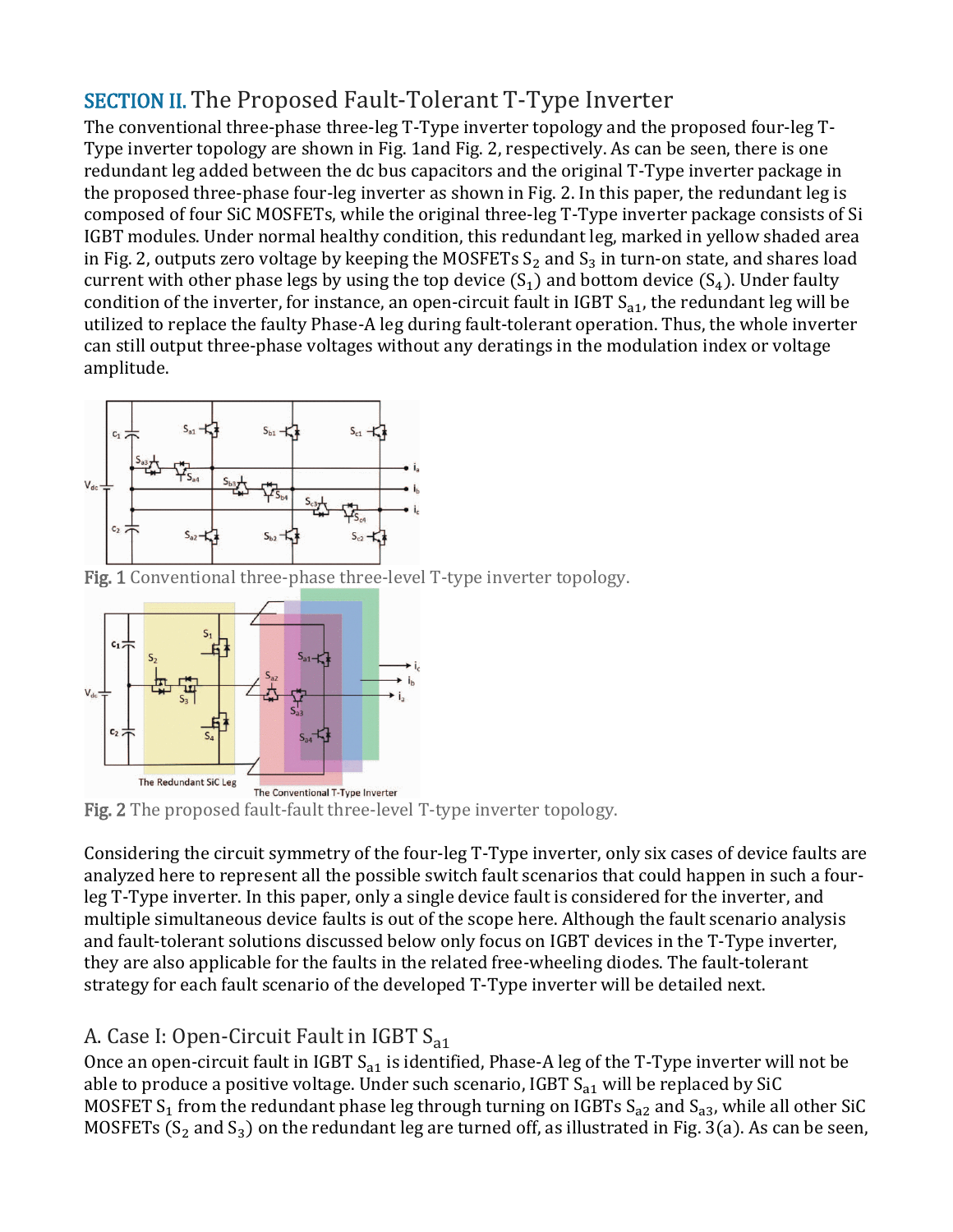# SECTION II. The Proposed Fault-Tolerant T-Type Inverter

The conventional three-phase three-leg T-Type inverter topology and the proposed four-leg T-Type inverter topology are shown in Fig. 1and Fig. 2, respectively. As can be seen, there is one redundant leg added between the dc bus capacitors and the original T-Type inverter package in the proposed three-phase four-leg inverter as shown in Fig. 2. In this paper, the redundant leg is composed of four SiC MOSFETs, while the original three-leg T-Type inverter package consists of Si IGBT modules. Under normal healthy condition, this redundant leg, marked in yellow shaded area in Fig. 2, outputs zero voltage by keeping the MOSFETs  $S_2$  and  $S_3$  in turn-on state, and shares load current with other phase legs by using the top device  $(S_1)$  and bottom device  $(S_4)$ . Under faulty condition of the inverter, for instance, an open-circuit fault in IGBT  $S_{a1}$ , the redundant leg will be utilized to replace the faulty Phase-A leg during fault-tolerant operation. Thus, the whole inverter can still output three-phase voltages without any deratings in the modulation index or voltage amplitude.



[Fig. 1 Conventional three-phase three-level T](https://ieeexplore.ieee.org/mediastore_new/IEEE/content/media/7835398/7854636/7854678/7854678-fig-2-source-large.gif)-type inverter topology.



Fig. 2 The proposed fault-fault three-level T-type inverter topology.

Considering the circuit symmetry of the four-leg T-Type inverter, only six cases of device faults are analyzed here to represent all the possible switch fault scenarios that could happen in such a fourleg T-Type inverter. In this paper, only a single device fault is considered for the inverter, and multiple simultaneous device faults is out of the scope here. Although the fault scenario analysis and fault-tolerant solutions discussed below only focus on IGBT devices in the T-Type inverter, they are also applicable for the faults in the related free-wheeling diodes. The fault-tolerant strategy for each fault scenario of the developed T-Type inverter will be detailed next.

#### A. Case I: Open-Circuit Fault in IGBT S<sub>a1</sub>

Once an open-circuit fault in IGBT  $S_{a1}$  is identified, Phase-A leg of the T-Type inverter will not be able to produce a positive voltage. Under such scenario, IGBT  $S_{a1}$  will be replaced by SiC MOSFET S<sub>1</sub> from the redundant phase leg through turning on IGBTs S<sub>a2</sub> and S<sub>a3</sub>, while all other SiC MOSFETs (S<sub>2</sub> and S<sub>3</sub>) on the redundant leg are turned off, as illustrated in Fig. 3(a). As can be seen,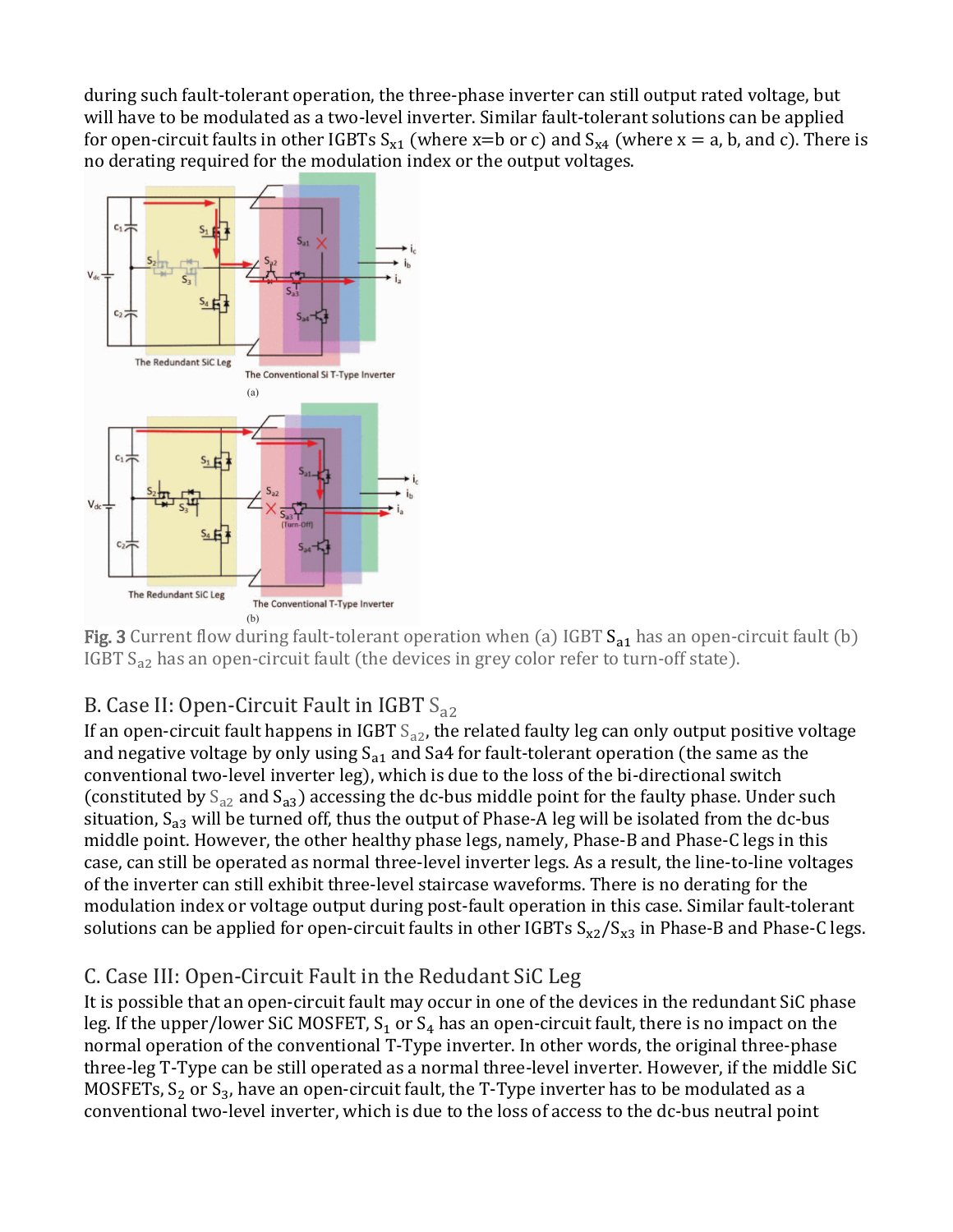during such fault-tolerant operation, the three-phase inverter can still output rated voltage, but will have to be modulated as a two-level inverter. Similar fault-tolerant solutions can be applied for open-circuit faults in other IGBTs  $S_{x1}$  (where x=b or c) and  $S_{x4}$  (where x = a, b, and c). There is [no derating required for the modulation inde](https://ieeexplore.ieee.org/mediastore_new/IEEE/content/media/7835398/7854636/7854678/7854678-fig-3-source-large.gif)x or the output voltages.



Fig. 3 Current flow during fault-tolerant operation when (a) IGBT  $S_{a1}$  has an open-circuit fault (b) IGBT S<sub>a2</sub> has an open-circuit fault (the devices in grey color refer to turn-off state).

### B. Case II: Open-Circuit Fault in IGBT  $S_{22}$

If an open-circuit fault happens in IGBT  $S_{a2}$ , the related faulty leg can only output positive voltage and negative voltage by only using  $S_{a1}$  and Sa4 for fault-tolerant operation (the same as the conventional two-level inverter leg), which is due to the loss of the bi-directional switch (constituted by  $S_{a2}$  and  $S_{a3}$ ) accessing the dc-bus middle point for the faulty phase. Under such situation,  $S_{a3}$  will be turned off, thus the output of Phase-A leg will be isolated from the dc-bus middle point. However, the other healthy phase legs, namely, Phase-B and Phase-C legs in this case, can still be operated as normal three-level inverter legs. As a result, the line-to-line voltages of the inverter can still exhibit three-level staircase waveforms. There is no derating for the modulation index or voltage output during post-fault operation in this case. Similar fault-tolerant solutions can be applied for open-circuit faults in other IGBTs  $S_{x2}/S_{x3}$  in Phase-B and Phase-C legs.

### C. Case III: Open-Circuit Fault in the Redudant SiC Leg

It is possible that an open-circuit fault may occur in one of the devices in the redundant SiC phase leg. If the upper/lower SiC MOSFET,  $S_1$  or  $S_4$  has an open-circuit fault, there is no impact on the normal operation of the conventional T-Type inverter. In other words, the original three-phase three-leg T-Type can be still operated as a normal three-level inverter. However, if the middle SiC MOSFETs,  $S_2$  or  $S_3$ , have an open-circuit fault, the T-Type inverter has to be modulated as a conventional two-level inverter, which is due to the loss of access to the dc-bus neutral point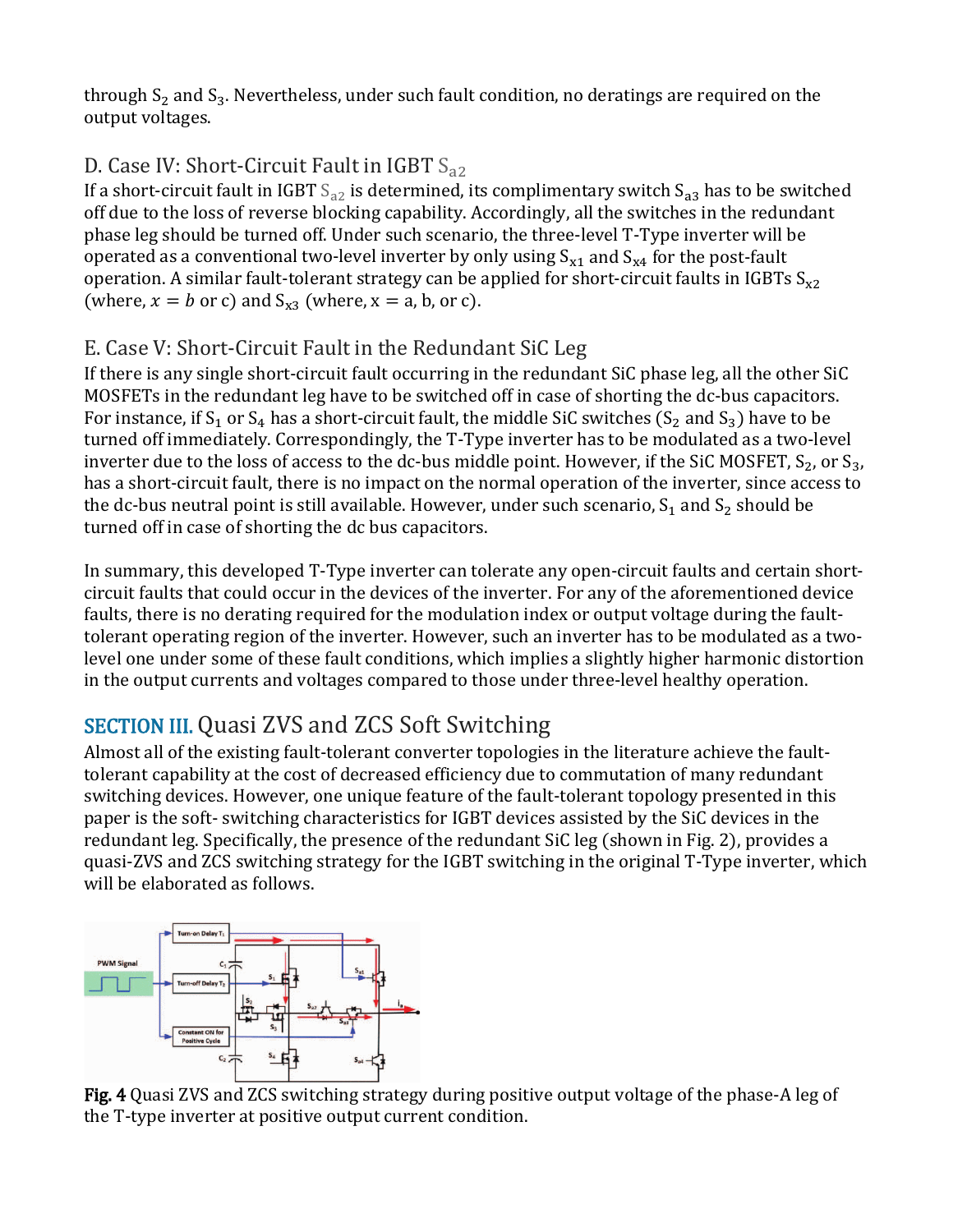through  $S_2$  and  $S_3$ . Nevertheless, under such fault condition, no deratings are required on the output voltages.

## D. Case IV: Short-Circuit Fault in IGBT  $S_{22}$

If a short-circuit fault in IGBT  $S_{a2}$  is determined, its complimentary switch  $S_{a3}$  has to be switched off due to the loss of reverse blocking capability. Accordingly, all the switches in the redundant phase leg should be turned off. Under such scenario, the three-level T-Type inverter will be operated as a conventional two-level inverter by only using  $S_{x1}$  and  $S_{x4}$  for the post-fault operation. A similar fault-tolerant strategy can be applied for short-circuit faults in IGBTs  $S_{x2}$ (where,  $x = b$  or c) and  $S_{x3}$  (where,  $x = a$ , b, or c).

### E. Case V: Short-Circuit Fault in the Redundant SiC Leg

If there is any single short-circuit fault occurring in the redundant SiC phase leg, all the other SiC MOSFETs in the redundant leg have to be switched off in case of shorting the dc-bus capacitors. For instance, if S<sub>1</sub> or S<sub>4</sub> has a short-circuit fault, the middle SiC switches (S<sub>2</sub> and S<sub>3</sub>) have to be turned off immediately. Correspondingly, the T-Type inverter has to be modulated as a two-level inverter due to the loss of access to the dc-bus middle point. However, if the SiC MOSFET,  $S_2$ , or  $S_3$ , has a short-circuit fault, there is no impact on the normal operation of the inverter, since access to the dc-bus neutral point is still available. However, under such scenario,  $S_1$  and  $S_2$  should be turned off in case of shorting the dc bus capacitors.

In summary, this developed T-Type inverter can tolerate any open-circuit faults and certain shortcircuit faults that could occur in the devices of the inverter. For any of the aforementioned device faults, there is no derating required for the modulation index or output voltage during the faulttolerant operating region of the inverter. However, such an inverter has to be modulated as a twolevel one under some of these fault conditions, which implies a slightly higher harmonic distortion in the output currents and voltages compared to those under three-level healthy operation.

# SECTION III. Quasi ZVS and ZCS Soft Switching

Almost all of the existing fault-tolerant converter topologies in the literature achieve the faulttolerant capability at the cost of decreased efficiency due to commutation of many redundant switching devices. However, one unique feature of the fault-tolerant topology presented in this paper is the soft- switching characteristics for IGBT devices assisted by the SiC devices in the redundant leg. Specifically, the presence of the redundant SiC leg (shown in Fig. 2), provides a quasi-ZVS and ZCS switching strategy for the IGBT switching in the original T-Type inverter, which will be elaborated as follows.



Fig. 4 Quasi ZVS and ZCS switching strategy during positive output voltage of the phase-A leg of the T-type inverter at positive output current condition.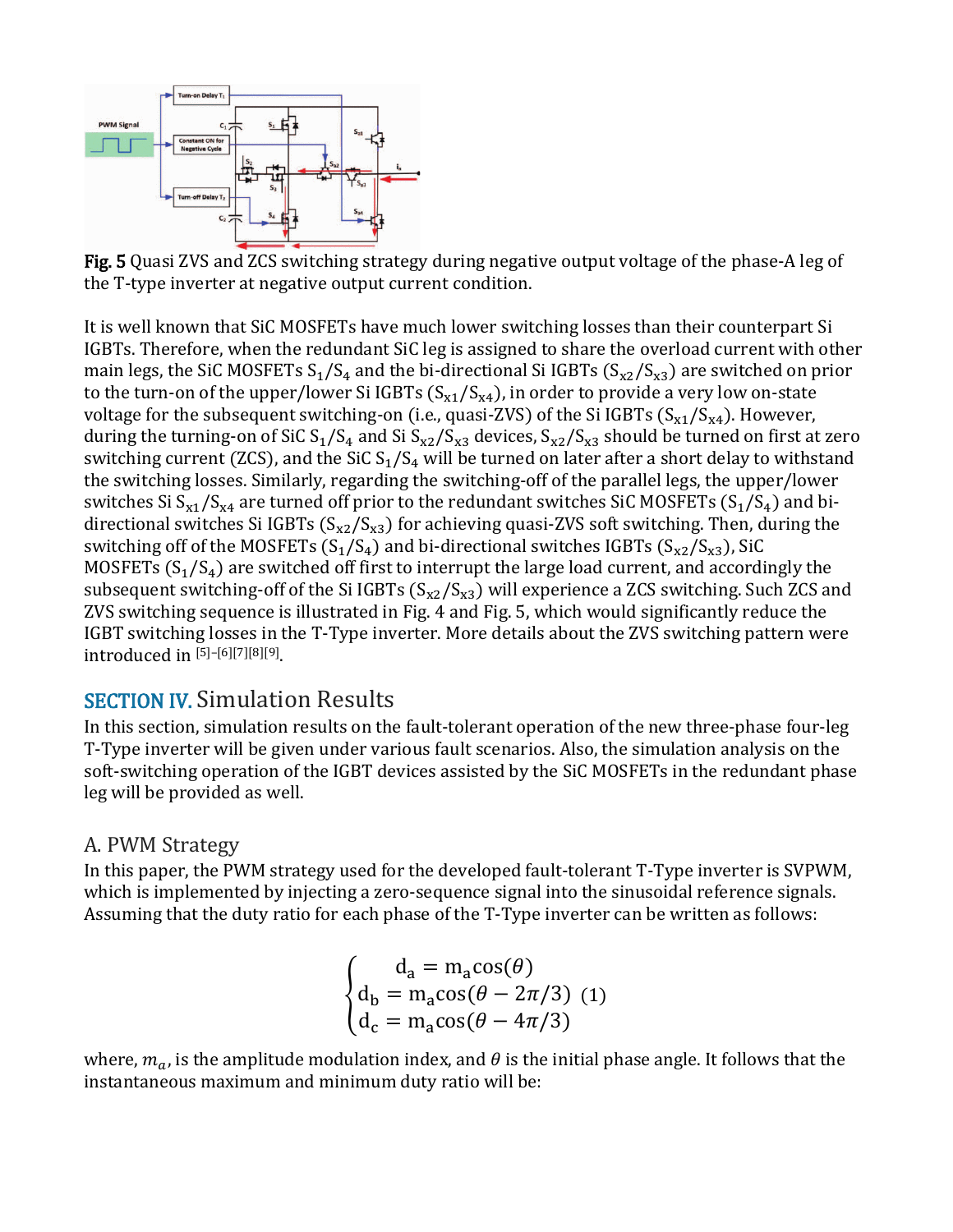

Fig. 5 Quasi ZVS and ZCS switching strategy during negative output voltage of the phase-A leg of the T-type inverter at negative output current condition.

It is well known that SiC MOSFETs have much lower switching losses than their counterpart Si IGBTs. Therefore, when the redundant SiC leg is assigned to share the overload current with other main legs, the SiC MOSFETs  $S_1/S_4$  and the bi-directional Si IGBTs  $(S_{x2}/S_{x3})$  are switched on prior to the turn-on of the upper/lower Si IGBTs  $(S_{x1}/S_{x4})$ , in order to provide a very low on-state voltage for the subsequent switching-on (i.e., quasi-ZVS) of the Si IGBTs  $(S_{x1}/S_{x4})$ . However, during the turning-on of SiC  $S_1/S_4$  and Si  $S_{x2}/S_{x3}$  devices,  $S_{x2}/S_{x3}$  should be turned on first at zero switching current (ZCS), and the SiC  $S_1/S_4$  will be turned on later after a short delay to withstand the switching losses. Similarly, regarding the switching-off of the parallel legs, the upper/lower switches Si  $S_{x1}/S_{x4}$  are turned off prior to the redundant switches SiC MOSFETs ( $S_1/S_4$ ) and bidirectional switches Si IGBTs ( $S_{x2}/S_{x3}$ ) for achieving quasi-ZVS soft switching. Then, during the switching off of the MOSFETs  $(S_1/S_4)$  and bi-directional switches IGBTs  $(S_{x2}/S_{x3})$ , SiC MOSFETs  $(S_1/S_4)$  are switched off first to interrupt the large load current, and accordingly the subsequent switching-off of the Si IGBTs  $(S_{x2}/S_{x3})$  will experience a ZCS switching. Such ZCS and ZVS switching sequence is illustrated in Fig. 4 and Fig. 5, which would significantly reduce the IGBT switching losses in the T-Type inverter. More details about the ZVS switching pattern were introduced in [5]–[6][7][8][9].

#### SECTION IV. Simulation Results

In this section, simulation results on the fault-tolerant operation of the new three-phase four-leg T-Type inverter will be given under various fault scenarios. Also, the simulation analysis on the soft-switching operation of the IGBT devices assisted by the SiC MOSFETs in the redundant phase leg will be provided as well.

#### A. PWM Strategy

In this paper, the PWM strategy used for the developed fault-tolerant T-Type inverter is SVPWM, which is implemented by injecting a zero-sequence signal into the sinusoidal reference signals. Assuming that the duty ratio for each phase of the T-Type inverter can be written as follows:

$$
\begin{cases}\n\mathbf{d}_{\mathbf{a}} = \mathbf{m}_{\mathbf{a}} \cos(\theta) \\
\mathbf{d}_{\mathbf{b}} = \mathbf{m}_{\mathbf{a}} \cos(\theta - 2\pi/3) \\
\mathbf{d}_{\mathbf{c}} = \mathbf{m}_{\mathbf{a}} \cos(\theta - 4\pi/3)\n\end{cases}
$$

where,  $m_a$ , is the amplitude modulation index, and  $\theta$  is the initial phase angle. It follows that the instantaneous maximum and minimum duty ratio will be: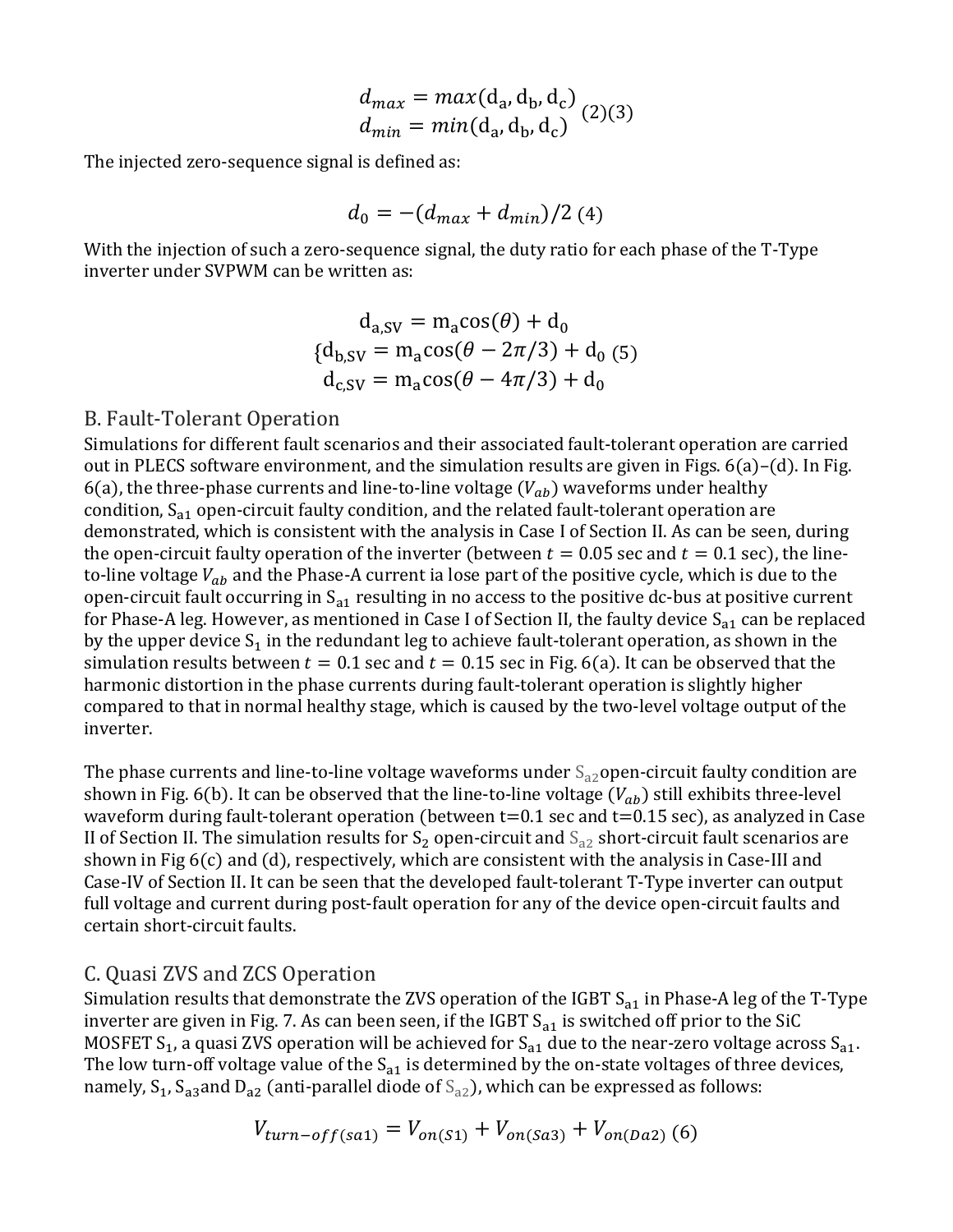$$
d_{max} = max(d_a, d_b, d_c)
$$
  

$$
d_{min} = min(d_a, d_b, d_c)
$$
 (2)(3)

The injected zero-sequence signal is defined as:

$$
d_0 = -(d_{max} + d_{min})/2 \, (4)
$$

With the injection of such a zero-sequence signal, the duty ratio for each phase of the T-Type inverter under SVPWM can be written as:

$$
d_{a,SV} = m_a \cos(\theta) + d_0
$$
  

$$
\{d_{b,SV} = m_a \cos(\theta - 2\pi/3) + d_0 \text{ (5)}
$$
  

$$
d_{c,SV} = m_a \cos(\theta - 4\pi/3) + d_0
$$

#### B. Fault-Tolerant Operation

Simulations for different fault scenarios and their associated fault-tolerant operation are carried out in PLECS software environment, and the simulation results are given in Figs.  $6(a)$ –(d). In Fig. 6(a), the three-phase currents and line-to-line voltage  $(V_{ab})$  waveforms under healthy condition,  $S_{a1}$  open-circuit faulty condition, and the related fault-tolerant operation are demonstrated, which is consistent with the analysis in Case I of Section II. As can be seen, during the open-circuit faulty operation of the inverter (between  $t = 0.05$  sec and  $t = 0.1$  sec), the lineto-line voltage  $V_{ab}$  and the Phase-A current ia lose part of the positive cycle, which is due to the open-circuit fault occurring in  $S_{a1}$  resulting in no access to the positive dc-bus at positive current for Phase-A leg. However, as mentioned in Case I of Section II, the faulty device  $S_{a1}$  can be replaced by the upper device  $S_1$  in the redundant leg to achieve fault-tolerant operation, as shown in the simulation results between  $t = 0.1$  sec and  $t = 0.15$  sec in Fig. 6(a). It can be observed that the harmonic distortion in the phase currents during fault-tolerant operation is slightly higher compared to that in normal healthy stage, which is caused by the two-level voltage output of the inverter.

The phase currents and line-to-line voltage waveforms under  $S_{a2}$ open-circuit faulty condition are shown in Fig. 6(b). It can be observed that the line-to-line voltage  $(V_{ab})$  still exhibits three-level waveform during fault-tolerant operation (between t=0.1 sec and t=0.15 sec), as analyzed in Case II of Section II. The simulation results for  $S_2$  open-circuit and  $S_{a2}$  short-circuit fault scenarios are shown in Fig 6(c) and (d), respectively, which are consistent with the analysis in Case-III and Case-IV of Section II. It can be seen that the developed fault-tolerant T-Type inverter can output full voltage and current during post-fault operation for any of the device open-circuit faults and certain short-circuit faults.

#### C. Quasi ZVS and ZCS Operation

Simulation results that demonstrate the ZVS operation of the IGBT  $S_{a1}$  in Phase-A leg of the T-Type inverter are given in Fig. 7. As can been seen, if the IGBT  $S_{a1}$  is switched off prior to the SiC MOSFET S<sub>1</sub>, a quasi ZVS operation will be achieved for S<sub>a1</sub> due to the near-zero voltage across S<sub>a1</sub>. The low turn-off voltage value of the  $S_{a1}$  is determined by the on-state voltages of three devices, namely,  $S_1$ ,  $S_{a3}$  and  $D_{a2}$  (anti-parallel diode of  $S_{a2}$ ), which can be expressed as follows:

$$
V_{turn-off(sa1)} = V_{on(S1)} + V_{on(Sa3)} + V_{on(Da2)}(6)
$$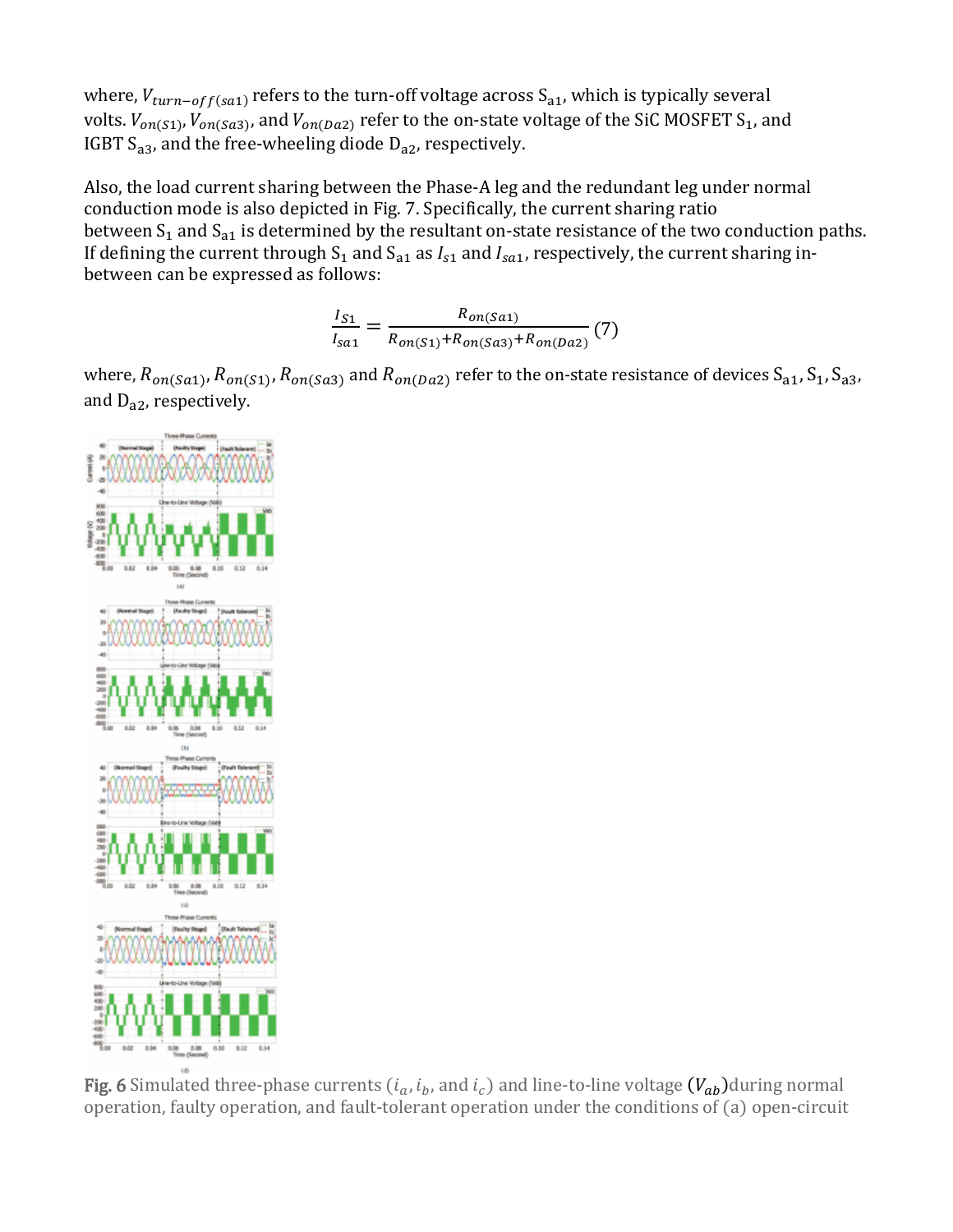where,  $V_{turn-off(sa1)}$  refers to the turn-off voltage across  $S_{a1}$ , which is typically several volts.  $V_{on(S1)}$ ,  $V_{on(Sa3)}$ , and  $V_{on(Da2)}$  refer to the on-state voltage of the SiC MOSFET S<sub>1</sub>, and IGBT  $S_{a3}$ , and the free-wheeling diode  $D_{a2}$ , respectively.

Also, the load current sharing between the Phase-A leg and the redundant leg under normal conduction mode is also depicted in Fig. 7. Specifically, the current sharing ratio between  $S_1$  and  $S_{a1}$  is determined by the resultant on-state resistance of the two conduction paths. If defining the current through  $S_1$  and  $S_{a1}$  as  $I_{s1}$  and  $I_{s21}$ , respectively, the current sharing inbetween can be expressed as follows:

$$
\frac{I_{S1}}{I_{Sa1}} = \frac{R_{on(Sa1)}}{R_{on(S1)} + R_{on(Sa3)} + R_{on(Da2)}}(7)
$$

where,  $R_{on(Sa1)}$ ,  $R_{on(Sa3)}$ ,  $R_{on(Sa3)}$  and  $R_{on(Da2)}$  refer to the on-state resistance of devices  $S_{a1}$ ,  $S_{1}$ ,  $S_{a3}$ , and  $D_{a2}$ , respectively.



Fig. 6 Simulated three-phase currents  $(i_a, i_b,$  and  $i_c$ ) and line-to-line voltage  $(V_{ab})$ during normal operation, faulty operation, and fault-tolerant operation under the conditions of (a) open-circuit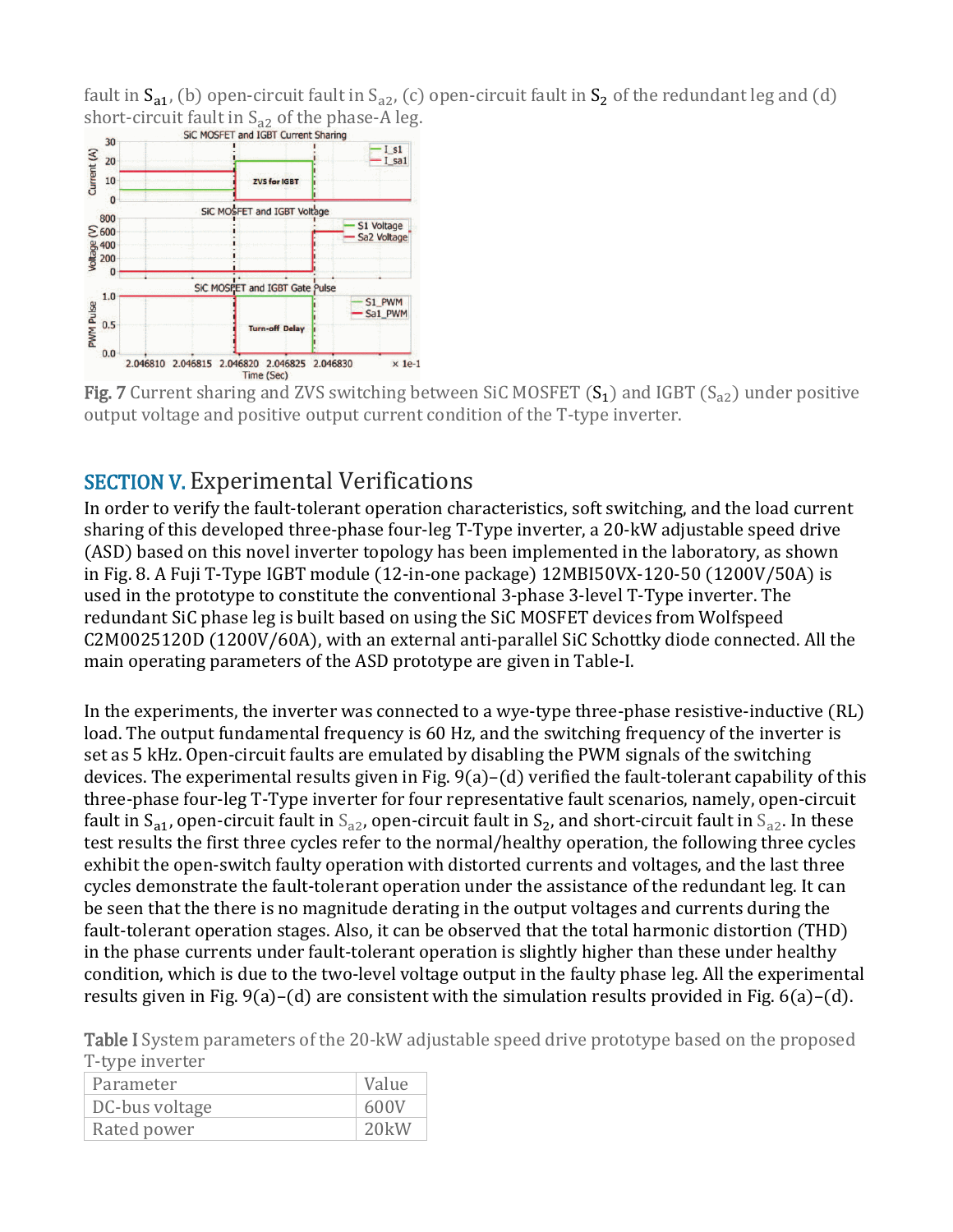fault in  $S_{a1}$ , (b) open-circuit fault in  $S_{a2}$ , (c) open-circuit fault in  $S_2$  of the redundant leg and (d) [short-circuit fault in](https://ieeexplore.ieee.org/mediastore_new/IEEE/content/media/7835398/7854636/7854678/7854678-fig-7-source-large.gif)  $S_{a2}$  of the phase-A leg.<br>SIC MOSFET and IGBT Current Sharing



**Fig. 7** Current sharing and ZVS switching between SiC MOSFET  $(S_1)$  and IGBT  $(S_{22})$  under positive output voltage and positive output current condition of the T-type inverter.

## SECTION V. Experimental Verifications

In order to verify the fault-tolerant operation characteristics, soft switching, and the load current sharing of this developed three-phase four-leg T-Type inverter, a 20-kW adjustable speed drive (ASD) based on this novel inverter topology has been implemented in the laboratory, as shown in Fig. 8. A Fuji T-Type IGBT module (12-in-one package) 12MBI50VX-120-50 (1200V/50A) is used in the prototype to constitute the conventional 3-phase 3-level T-Type inverter. The redundant SiC phase leg is built based on using the SiC MOSFET devices from Wolfspeed C2M0025120D (1200V/60A), with an external anti-parallel SiC Schottky diode connected. All the main operating parameters of the ASD prototype are given in Table-I.

In the experiments, the inverter was connected to a wye-type three-phase resistive-inductive (RL) load. The output fundamental frequency is 60 Hz, and the switching frequency of the inverter is set as 5 kHz. Open-circuit faults are emulated by disabling the PWM signals of the switching devices. The experimental results given in Fig. 9(a)–(d) verified the fault-tolerant capability of this three-phase four-leg T-Type inverter for four representative fault scenarios, namely, open-circuit fault in  $S_{a1}$ , open-circuit fault in  $S_{a2}$ , open-circuit fault in  $S_{2}$ , and short-circuit fault in  $S_{a2}$ . In these test results the first three cycles refer to the normal/healthy operation, the following three cycles exhibit the open-switch faulty operation with distorted currents and voltages, and the last three cycles demonstrate the fault-tolerant operation under the assistance of the redundant leg. It can be seen that the there is no magnitude derating in the output voltages and currents during the fault-tolerant operation stages. Also, it can be observed that the total harmonic distortion (THD) in the phase currents under fault-tolerant operation is slightly higher than these under healthy condition, which is due to the two-level voltage output in the faulty phase leg. All the experimental results given in Fig.  $9(a)-(d)$  are consistent with the simulation results provided in Fig.  $6(a)-(d)$ .

Table I System parameters of the 20-kW adjustable speed drive prototype based on the proposed T-type inverter

| Parameter      | Value |
|----------------|-------|
| DC-bus voltage | 600V  |
| Rated power    | 20kW  |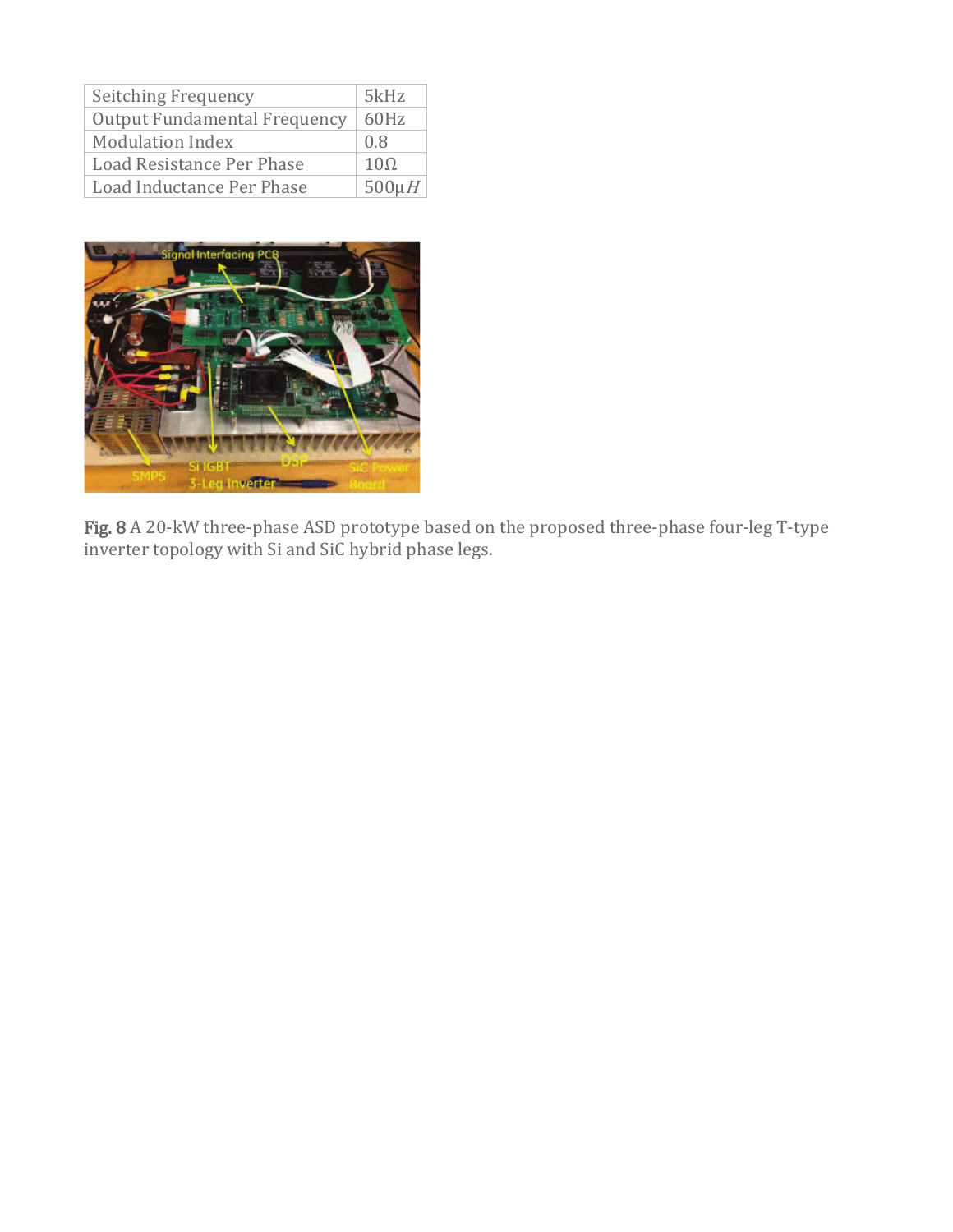| Seitching Frequency                 | 5kHz        |
|-------------------------------------|-------------|
| <b>Output Fundamental Frequency</b> | 60Hz        |
| <b>Modulation Index</b>             | 0.8         |
| Load Resistance Per Phase           | $10\Omega$  |
| Load Inductance Per Phase           | $500 \mu H$ |



Fig. 8 A 20-kW three-phase ASD prototype based on the proposed three-phase four-leg T-type inverter topology with Si and SiC hybrid phase legs.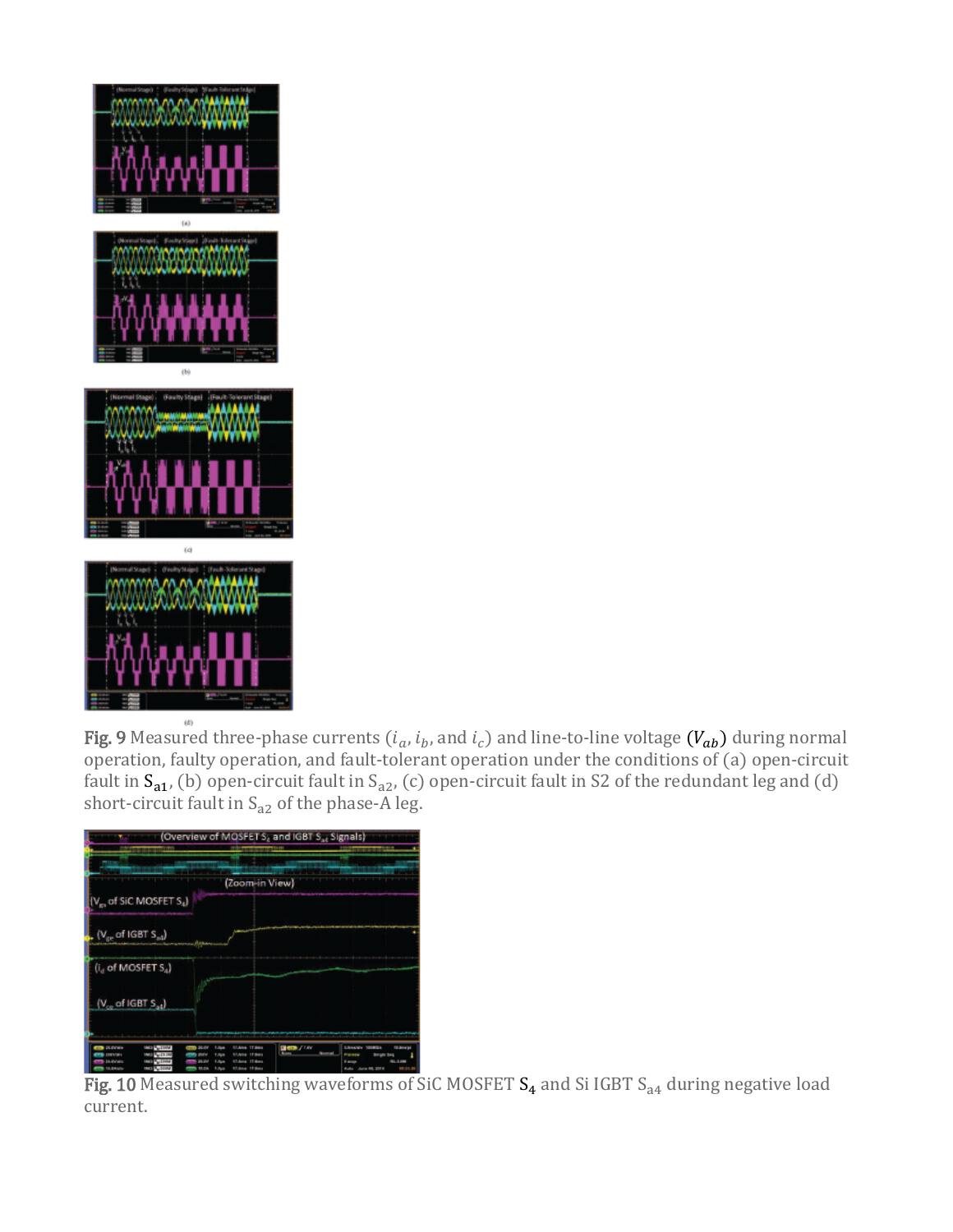

Fig. 9 Measured three-phase currents  $(i_a, i_b,$  and  $i_c$ ) and line-to-line voltage  $(V_{ab})$  during normal operation, faulty operation, and fault-tolerant operation under the conditions of (a) open-circuit fault in  $S_{a1}$ , (b) open-circuit fault in  $S_{a2}$ , (c) open-circuit fault in S2 of the redundant leg and (d) short-circuit fault in  $S_{a2}$  of the phase-A leg.



Fig. 10 Measured switching waveforms of SiC MOSFET  $S_4$  and Si IGBT  $S_{a4}$  during negative load current.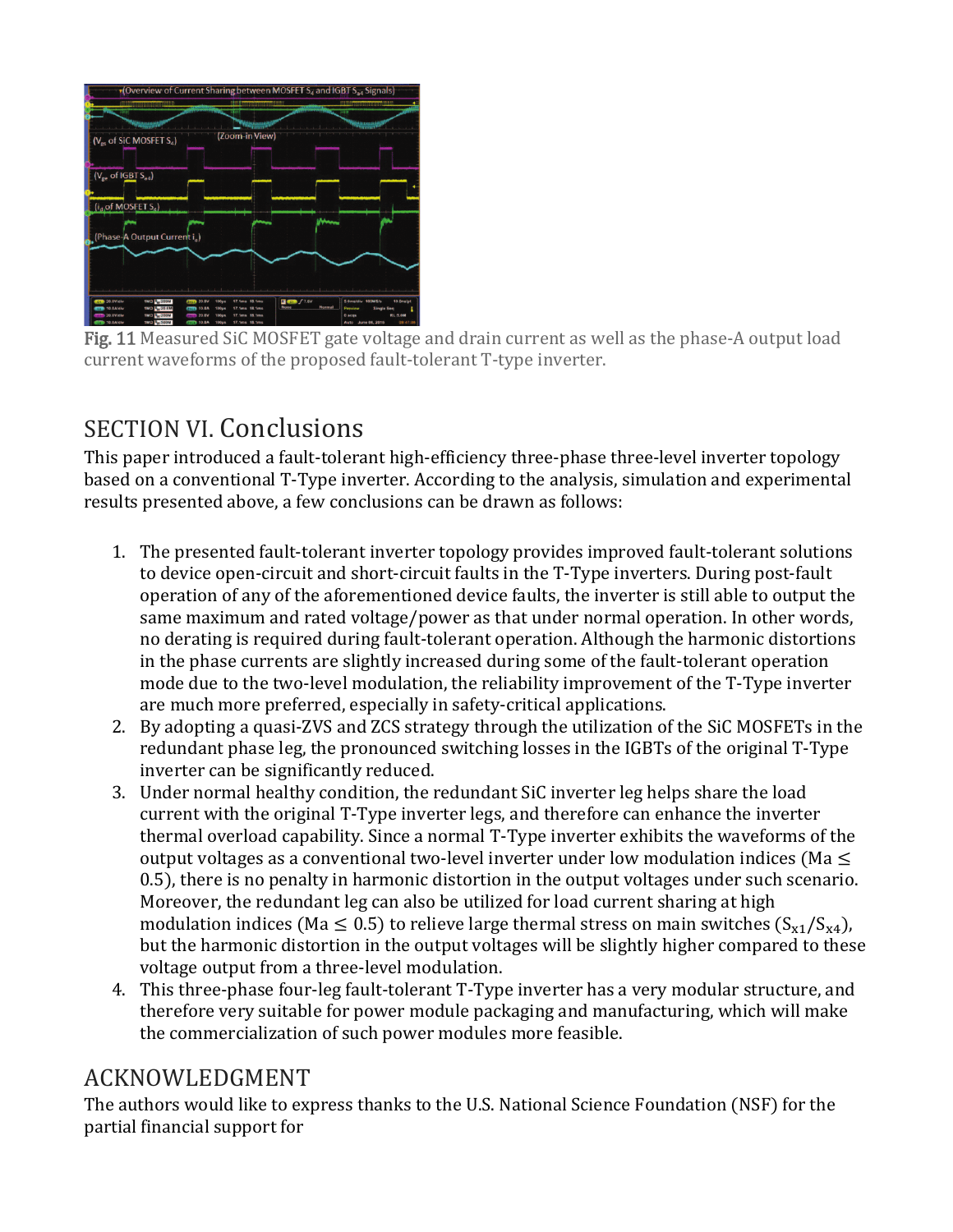

Fig. 11 Measured SiC MOSFET gate voltage and drain current as well as the phase-A output load current waveforms of the proposed fault-tolerant T-type inverter.

# SECTION VI. Conclusions

This paper introduced a fault-tolerant high-efficiency three-phase three-level inverter topology based on a conventional T-Type inverter. According to the analysis, simulation and experimental results presented above, a few conclusions can be drawn as follows:

- 1. The presented fault-tolerant inverter topology provides improved fault-tolerant solutions to device open-circuit and short-circuit faults in the T-Type inverters. During post-fault operation of any of the aforementioned device faults, the inverter is still able to output the same maximum and rated voltage/power as that under normal operation. In other words, no derating is required during fault-tolerant operation. Although the harmonic distortions in the phase currents are slightly increased during some of the fault-tolerant operation mode due to the two-level modulation, the reliability improvement of the T-Type inverter are much more preferred, especially in safety-critical applications.
- 2. By adopting a quasi-ZVS and ZCS strategy through the utilization of the SiC MOSFETs in the redundant phase leg, the pronounced switching losses in the IGBTs of the original T-Type inverter can be significantly reduced.
- 3. Under normal healthy condition, the redundant SiC inverter leg helps share the load current with the original T-Type inverter legs, and therefore can enhance the inverter thermal overload capability. Since a normal T-Type inverter exhibits the waveforms of the output voltages as a conventional two-level inverter under low modulation indices (Ma  $\leq$ 0.5), there is no penalty in harmonic distortion in the output voltages under such scenario. Moreover, the redundant leg can also be utilized for load current sharing at high modulation indices (Ma  $\leq$  0.5) to relieve large thermal stress on main switches (S<sub>x1</sub>/S<sub>x4</sub>), but the harmonic distortion in the output voltages will be slightly higher compared to these voltage output from a three-level modulation.
- 4. This three-phase four-leg fault-tolerant T-Type inverter has a very modular structure, and therefore very suitable for power module packaging and manufacturing, which will make the commercialization of such power modules more feasible.

# ACKNOWLEDGMENT

The authors would like to express thanks to the U.S. National Science Foundation (NSF) for the partial financial support for